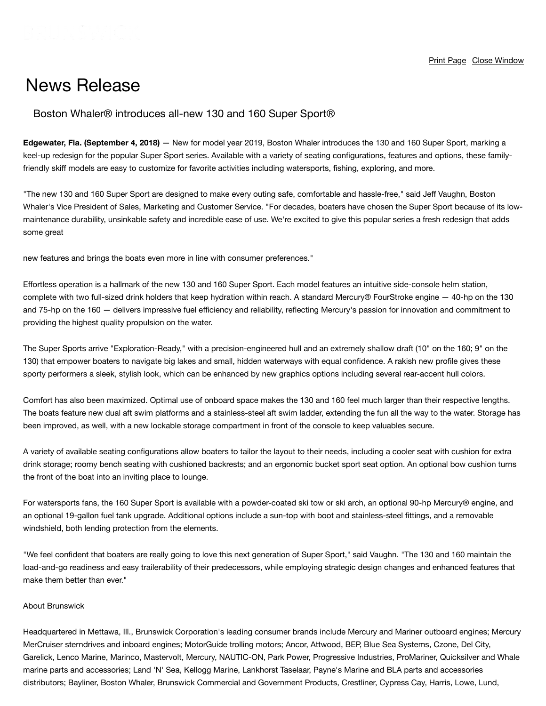## News Release

## Boston Whaler® introduces all-new 130 and 160 Super Sport®

**Edgewater, Fla. (September 4, 2018)** — New for model year 2019, Boston Whaler introduces the 130 and 160 Super Sport, marking a keel-up redesign for the popular Super Sport series. Available with a variety of seating configurations, features and options, these familyfriendly skiff models are easy to customize for favorite activities including watersports, fishing, exploring, and more.

"The new 130 and 160 Super Sport are designed to make every outing safe, comfortable and hassle-free," said Jeff Vaughn, Boston Whaler's Vice President of Sales, Marketing and Customer Service. "For decades, boaters have chosen the Super Sport because of its lowmaintenance durability, unsinkable safety and incredible ease of use. We're excited to give this popular series a fresh redesign that adds some great

new features and brings the boats even more in line with consumer preferences."

Effortless operation is a hallmark of the new 130 and 160 Super Sport. Each model features an intuitive side-console helm station, complete with two full-sized drink holders that keep hydration within reach. A standard Mercury® FourStroke engine — 40-hp on the 130 and 75-hp on the 160 — delivers impressive fuel efficiency and reliability, reflecting Mercury's passion for innovation and commitment to providing the highest quality propulsion on the water.

The Super Sports arrive "Exploration-Ready," with a precision-engineered hull and an extremely shallow draft (10" on the 160; 9" on the 130) that empower boaters to navigate big lakes and small, hidden waterways with equal confidence. A rakish new profile gives these sporty performers a sleek, stylish look, which can be enhanced by new graphics options including several rear-accent hull colors.

Comfort has also been maximized. Optimal use of onboard space makes the 130 and 160 feel much larger than their respective lengths. The boats feature new dual aft swim platforms and a stainless-steel aft swim ladder, extending the fun all the way to the water. Storage has been improved, as well, with a new lockable storage compartment in front of the console to keep valuables secure.

A variety of available seating configurations allow boaters to tailor the layout to their needs, including a cooler seat with cushion for extra drink storage; roomy bench seating with cushioned backrests; and an ergonomic bucket sport seat option. An optional bow cushion turns the front of the boat into an inviting place to lounge.

For watersports fans, the 160 Super Sport is available with a powder-coated ski tow or ski arch, an optional 90-hp Mercury® engine, and an optional 19-gallon fuel tank upgrade. Additional options include a sun-top with boot and stainless-steel fittings, and a removable windshield, both lending protection from the elements.

"We feel confident that boaters are really going to love this next generation of Super Sport," said Vaughn. "The 130 and 160 maintain the load-and-go readiness and easy trailerability of their predecessors, while employing strategic design changes and enhanced features that make them better than ever."

## About Brunswick

distributors; Bayliner, Boston Whaler, Brunswick Commercial and Government Products, Crestliner, Cypress Cay, Harris, Lowe, Lund, Headquartered in Mettawa, Ill., Brunswick Corporation's leading consumer brands include Mercury and Mariner outboard engines; Mercury MerCruiser sterndrives and inboard engines; MotorGuide trolling motors; Ancor, Attwood, BEP, Blue Sea Systems, Czone, Del City, Garelick, Lenco Marine, Marinco, Mastervolt, Mercury, NAUTIC-ON, Park Power, Progressive Industries, ProMariner, Quicksilver and Whale marine parts and accessories; Land 'N' Sea, Kellogg Marine, Lankhorst Taselaar, Payne's Marine and BLA parts and accessories